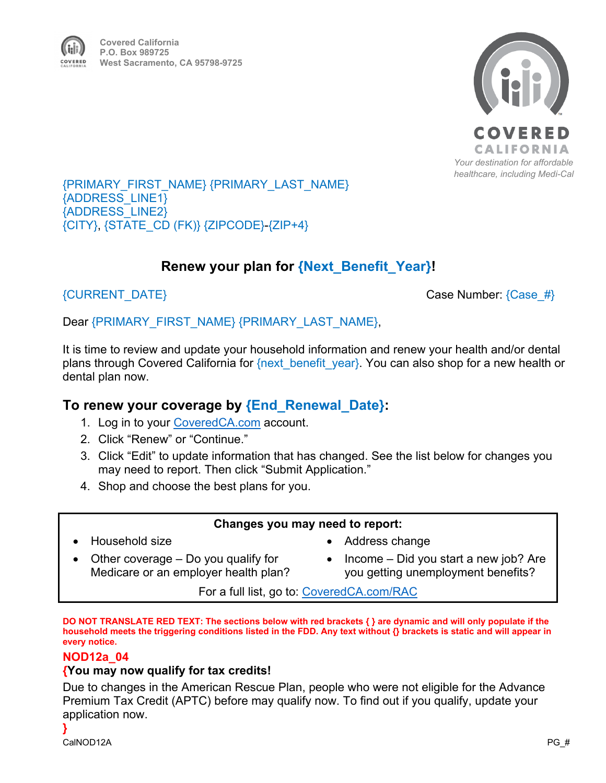

## {PRIMARY\_FIRST\_NAME} {PRIMARY\_LAST\_NAME} {ADDRESS\_LINE1} {ADDRESS\_LINE2} {CITY}, {STATE\_CD (FK)} {ZIPCODE}-{ZIP+4}

# **Renew your plan for {Next\_Benefit\_Year}!**

 ${C}$ URRENT\_DATE}  ${C}$ 

# Dear {PRIMARY\_FIRST\_NAME} {PRIMARY\_LAST\_NAME},

It is time to review and update your household information and renew your health and/or dental plans through Covered California for {next\_benefit\_year}. You can also shop for a new health or dental plan now.

# **To renew your coverage by {End\_Renewal\_Date}:**

- 1. Log in to your [CoveredCA.com](http://www.coveredca.com/) account.
- 2. Click "Renew" or "Continue."
- 3. Click "Edit" to update information that has changed. See the list below for changes you may need to report. Then click "Submit Application."
- 4. Shop and choose the best plans for you.

# **Changes you may need to report:**

• Household size

- Address change
- Other coverage Do you qualify for Medicare or an employer health plan?
- Income Did you start a new job? Are you getting unemployment benefits?

For a full list, go to: [CoveredCA.com/RAC](https://www.coveredca.com/members/reporting-a-change/)

**DO NOT TRANSLATE RED TEXT: The sections below with red brackets { } are dynamic and will only populate if the household meets the triggering conditions listed in the FDD. Any text without {} brackets is static and will appear in every notice.** 

# **NOD12a\_04**

# **{You may now qualify for tax credits!**

Due to changes in the American Rescue Plan, people who were not eligible for the Advance Premium Tax Credit (APTC) before may qualify now. To find out if you qualify, update your application now.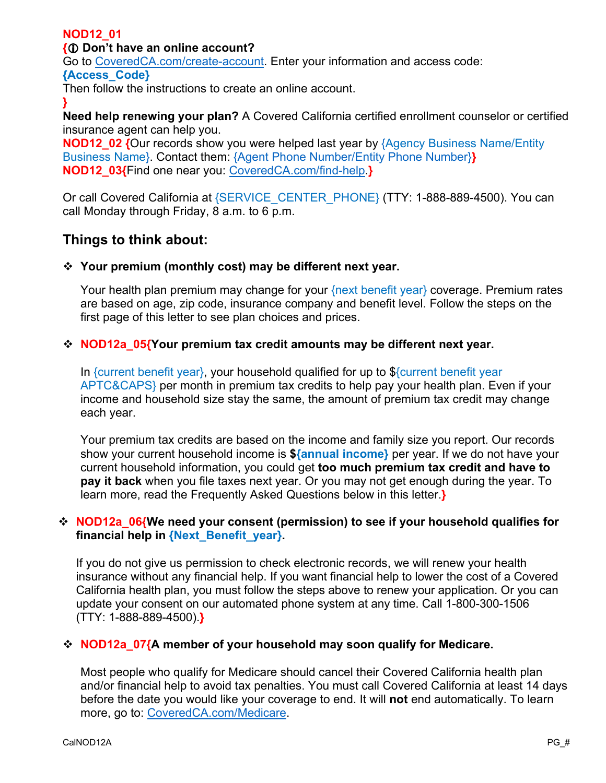# **NOD12\_01**

## **{ Don't have an online account?**

Go to [CoveredCA.com/create-account.](https://apply.coveredca.com/static/lw-web/account-creation/create) Enter your information and access code:

#### **{Access\_Code}**

Then follow the instructions to create an online account.

**} Need help renewing your plan?** A Covered California certified enrollment counselor or certified insurance agent can help you.

**NOD12 02 {Our records show you were helped last year by {Agency Business Name/Entity** Business Name}. Contact them: {Agent Phone Number/Entity Phone Number}**} NOD12\_03{**Find one near you: [CoveredCA.com/find-help.](https://www.coveredca.com/find-help/)**}**

Or call Covered California at {SERVICE\_CENTER\_PHONE} (TTY: 1-888-889-4500). You can call Monday through Friday, 8 a.m. to 6 p.m.

# **Things to think about:**

#### **Your premium (monthly cost) may be different next year.**

Your health plan premium may change for your {next benefit year} coverage. Premium rates are based on age, zip code, insurance company and benefit level. Follow the steps on the first page of this letter to see plan choices and prices.

#### **↑ NOD12a\_05{Your premium tax credit amounts may be different next year.**

In {current benefit year}, your household qualified for up to \${current benefit year APTC&CAPS} per month in premium tax credits to help pay your health plan. Even if your income and household size stay the same, the amount of premium tax credit may change each year.

Your premium tax credits are based on the income and family size you report. Our records show your current household income is **\${annual income}** per year. If we do not have your current household information, you could get **too much premium tax credit and have to pay it back** when you file taxes next year. Or you may not get enough during the year. To learn more, read the Frequently Asked Questions below in this letter.**}**

#### **NOD12a\_06{We need your consent (permission) to see if your household qualifies for financial help in {Next\_Benefit\_year}.**

If you do not give us permission to check electronic records, we will renew your health insurance without any financial help. If you want financial help to lower the cost of a Covered California health plan, you must follow the steps above to renew your application. Or you can update your consent on our automated phone system at any time. Call 1-800-300-1506 (TTY: 1-888-889-4500).**}**

#### **NOD12a\_07{A member of your household may soon qualify for Medicare.**

Most people who qualify for Medicare should cancel their Covered California health plan and/or financial help to avoid tax penalties. You must call Covered California at least 14 days before the date you would like your coverage to end. It will **not** end automatically. To learn more, go to: [CoveredCA.com/Medicare.](https://www.coveredca.com/individuals-and-families/special-circumstances/individuals-on-medicare/)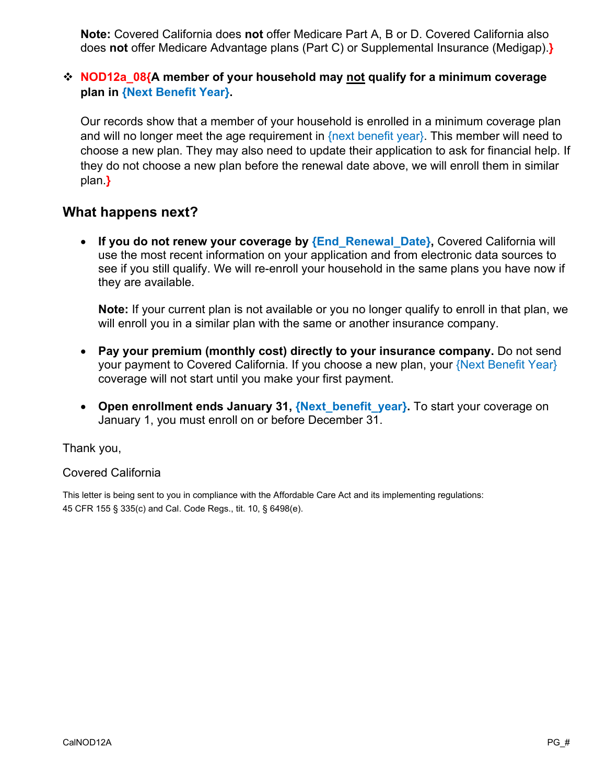**Note:** Covered California does **not** offer Medicare Part A, B or D. Covered California also does **not** offer Medicare Advantage plans (Part C) or Supplemental Insurance (Medigap).**}**

# **NOD12a\_08{A member of your household may not qualify for a minimum coverage plan in {Next Benefit Year}.**

Our records show that a member of your household is enrolled in a minimum coverage plan and will no longer meet the age requirement in  ${next benefit year}$ . This member will need to choose a new plan. They may also need to update their application to ask for financial help. If they do not choose a new plan before the renewal date above, we will enroll them in similar plan.**}**

# **What happens next?**

• If you do not renew your coverage by **{End\_Renewal\_Date}**, Covered California will use the most recent information on your application and from electronic data sources to see if you still qualify. We will re-enroll your household in the same plans you have now if they are available.

**Note:** If your current plan is not available or you no longer qualify to enroll in that plan, we will enroll you in a similar plan with the same or another insurance company.

- **Pay your premium (monthly cost) directly to your insurance company.** Do not send your payment to Covered California. If you choose a new plan, your {Next Benefit Year} coverage will not start until you make your first payment.
- **Open enrollment ends January 31, {Next\_benefit\_year}.** To start your coverage on January 1, you must enroll on or before December 31.

Thank you,

#### Covered California

This letter is being sent to you in compliance with the Affordable Care Act and its implementing regulations: 45 CFR 155 § 335(c) and Cal. Code Regs., tit. 10, § 6498(e).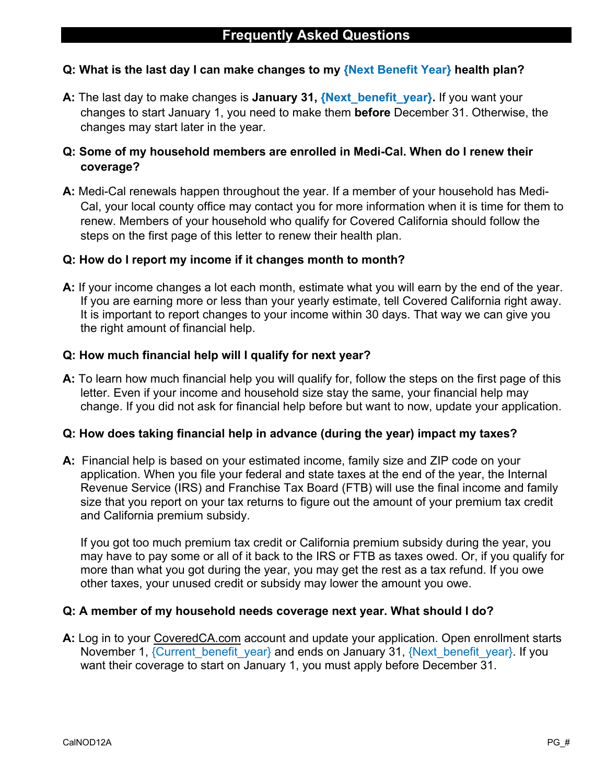# **Q: What is the last day I can make changes to my {Next Benefit Year} health plan?**

**A:** The last day to make changes is **January 31, {Next\_benefit\_year}.** If you want your changes to start January 1, you need to make them **before** December 31. Otherwise, the changes may start later in the year.

# **Q: Some of my household members are enrolled in Medi-Cal. When do I renew their coverage?**

**A:** Medi-Cal renewals happen throughout the year. If a member of your household has Medi-Cal, your local county office may contact you for more information when it is time for them to renew. Members of your household who qualify for Covered California should follow the steps on the first page of this letter to renew their health plan.

### **Q: How do I report my income if it changes month to month?**

**A:** If your income changes a lot each month, estimate what you will earn by the end of the year. If you are earning more or less than your yearly estimate, tell Covered California right away. It is important to report changes to your income within 30 days. That way we can give you the right amount of financial help.

# **Q: How much financial help will I qualify for next year?**

**A:** To learn how much financial help you will qualify for, follow the steps on the first page of this letter. Even if your income and household size stay the same, your financial help may change. If you did not ask for financial help before but want to now, update your application.

#### **Q: How does taking financial help in advance (during the year) impact my taxes?**

**A:** Financial help is based on your estimated income, family size and ZIP code on your application. When you file your federal and state taxes at the end of the year, the Internal Revenue Service (IRS) and Franchise Tax Board (FTB) will use the final income and family size that you report on your tax returns to figure out the amount of your premium tax credit and California premium subsidy.

If you got too much premium tax credit or California premium subsidy during the year, you may have to pay some or all of it back to the IRS or FTB as taxes owed. Or, if you qualify for more than what you got during the year, you may get the rest as a tax refund. If you owe other taxes, your unused credit or subsidy may lower the amount you owe.

#### **Q: A member of my household needs coverage next year. What should I do?**

**A:** Log in to your CoveredCA.com account and update your application. Open enrollment starts November 1, {Current\_benefit\_year} and ends on January 31, {Next\_benefit\_year}. If you want their coverage to start on January 1, you must apply before December 31.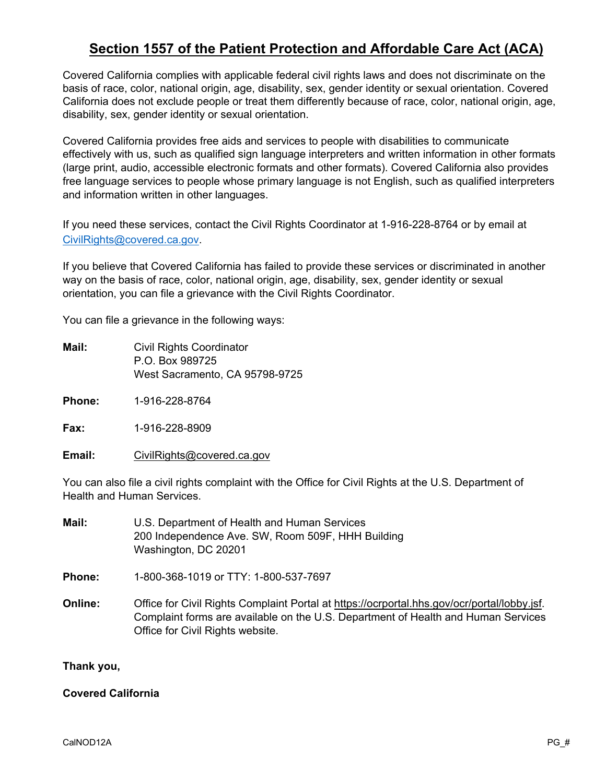# **Section 1557 of the Patient Protection and Affordable Care Act (ACA)**

Covered California complies with applicable federal civil rights laws and does not discriminate on the basis of race, color, national origin, age, disability, sex, gender identity or sexual orientation. Covered California does not exclude people or treat them differently because of race, color, national origin, age, disability, sex, gender identity or sexual orientation.

Covered California provides free aids and services to people with disabilities to communicate effectively with us, such as qualified sign language interpreters and written information in other formats (large print, audio, accessible electronic formats and other formats). Covered California also provides free language services to people whose primary language is not English, such as qualified interpreters and information written in other languages.

If you need these services, contact the Civil Rights Coordinator at 1-916-228-8764 or by email at [CivilRights@covered.ca.gov.](mailto:CivilRights@covered.ca.gov)

If you believe that Covered California has failed to provide these services or discriminated in another way on the basis of race, color, national origin, age, disability, sex, gender identity or sexual orientation, you can file a grievance with the Civil Rights Coordinator.

You can file a grievance in the following ways:

- **Mail:** Civil Rights Coordinator P.O. Box 989725 West Sacramento, CA 95798-9725
- **Phone:** 1-916-228-8764

**Fax:** 1-916-228-8909

**Email:** [CivilRights@covered.ca.gov](mailto:CivilRights@covered.ca.gov)

You can also file a civil rights complaint with the Office for Civil Rights at the U.S. Department of Health and Human Services.

| Mail:          | U.S. Department of Health and Human Services<br>200 Independence Ave. SW, Room 509F, HHH Building<br>Washington, DC 20201                                                                                            |
|----------------|----------------------------------------------------------------------------------------------------------------------------------------------------------------------------------------------------------------------|
| Phone:         | 1-800-368-1019 or TTY: 1-800-537-7697                                                                                                                                                                                |
| <b>Online:</b> | Office for Civil Rights Complaint Portal at https://ocrportal.hhs.gov/ocr/portal/lobby.jsf.<br>Complaint forms are available on the U.S. Department of Health and Human Services<br>Office for Civil Rights website. |

**Thank you,**

**Covered California**